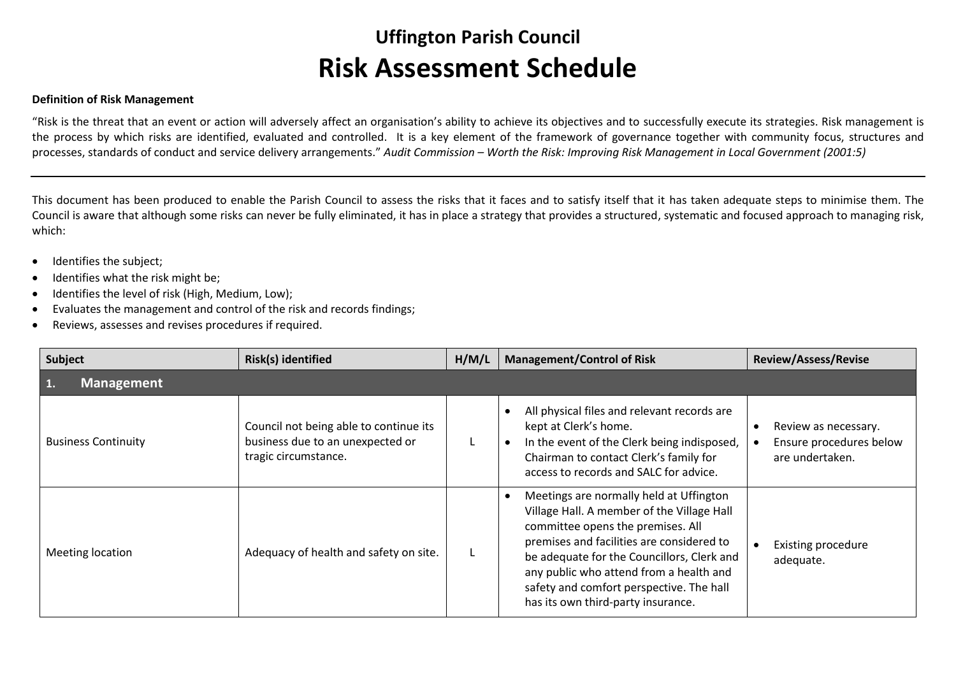## **Uffington Parish Council Risk Assessment Schedule**

## **Definition of Risk Management**

"Risk is the threat that an event or action will adversely affect an organisation's ability to achieve its objectives and to successfully execute its strategies. Risk management is the process by which risks are identified, evaluated and controlled. It is a key element of the framework of governance together with community focus, structures and processes, standards of conduct and service delivery arrangements." *Audit Commission – Worth the Risk: Improving Risk Management in Local Government (2001:5)*

This document has been produced to enable the Parish Council to assess the risks that it faces and to satisfy itself that it has taken adequate steps to minimise them. The Council is aware that although some risks can never be fully eliminated, it has in place a strategy that provides a structured, systematic and focused approach to managing risk, which:

- Identifies the subject;
- Identifies what the risk might be;
- Identifies the level of risk (High, Medium, Low);
- Evaluates the management and control of the risk and records findings;
- Reviews, assesses and revises procedures if required.

| Subject                    | Risk(s) identified                                                                                 | H/M/L | <b>Management/Control of Risk</b>                                                                                                                                                                                                                                                                                                                  | <b>Review/Assess/Revise</b>                                        |
|----------------------------|----------------------------------------------------------------------------------------------------|-------|----------------------------------------------------------------------------------------------------------------------------------------------------------------------------------------------------------------------------------------------------------------------------------------------------------------------------------------------------|--------------------------------------------------------------------|
| <b>Management</b><br>1.    |                                                                                                    |       |                                                                                                                                                                                                                                                                                                                                                    |                                                                    |
| <b>Business Continuity</b> | Council not being able to continue its<br>business due to an unexpected or<br>tragic circumstance. |       | All physical files and relevant records are<br>kept at Clerk's home.<br>In the event of the Clerk being indisposed,<br>Chairman to contact Clerk's family for<br>access to records and SALC for advice.                                                                                                                                            | Review as necessary.<br>Ensure procedures below<br>are undertaken. |
| Meeting location           | Adequacy of health and safety on site.                                                             |       | Meetings are normally held at Uffington<br>Village Hall. A member of the Village Hall<br>committee opens the premises. All<br>premises and facilities are considered to<br>be adequate for the Councillors, Clerk and<br>any public who attend from a health and<br>safety and comfort perspective. The hall<br>has its own third-party insurance. | <b>Existing procedure</b><br>adequate.                             |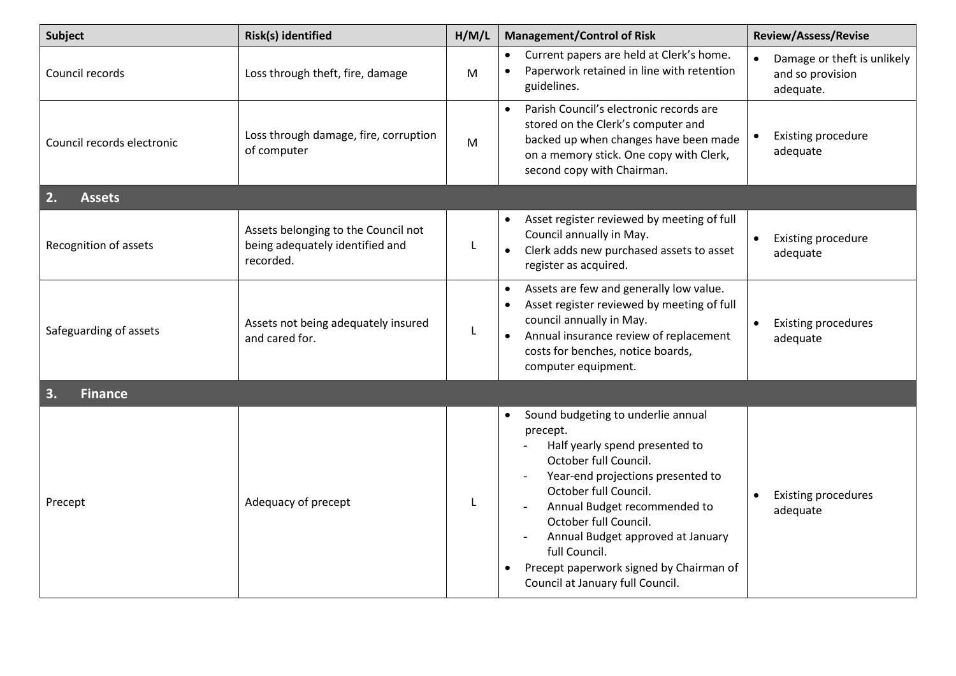| <b>Subject</b>             | Risk(s) identified                                                                  | H/M/L | <b>Management/Control of Risk</b>                                                                                                                                                                                                                                                                                                                                     | <b>Review/Assess/Revise</b>                                  |
|----------------------------|-------------------------------------------------------------------------------------|-------|-----------------------------------------------------------------------------------------------------------------------------------------------------------------------------------------------------------------------------------------------------------------------------------------------------------------------------------------------------------------------|--------------------------------------------------------------|
| Council records            | Loss through theft, fire, damage                                                    | M     | Current papers are held at Clerk's home.<br>Paperwork retained in line with retention<br>guidelines.                                                                                                                                                                                                                                                                  | Damage or theft is unlikely<br>and so provision<br>adequate. |
| Council records electronic | Loss through damage, fire, corruption<br>of computer                                | M     | Parish Council's electronic records are<br>stored on the Clerk's computer and<br>backed up when changes have been made<br>on a memory stick. One copy with Clerk,<br>second copy with Chairman.                                                                                                                                                                       | <b>Existing procedure</b><br>adequate                        |
| 2.<br><b>Assets</b>        |                                                                                     |       |                                                                                                                                                                                                                                                                                                                                                                       |                                                              |
| Recognition of assets      | Assets belonging to the Council not<br>being adequately identified and<br>recorded. | L     | Asset register reviewed by meeting of full<br>Council annually in May.<br>Clerk adds new purchased assets to asset<br>$\bullet$<br>register as acquired.                                                                                                                                                                                                              | <b>Existing procedure</b><br>adequate                        |
| Safeguarding of assets     | Assets not being adequately insured<br>and cared for.                               | L     | Assets are few and generally low value.<br>Asset register reviewed by meeting of full<br>council annually in May.<br>Annual insurance review of replacement<br>costs for benches, notice boards,<br>computer equipment.                                                                                                                                               | <b>Existing procedures</b><br>adequate                       |
| 3.<br><b>Finance</b>       |                                                                                     |       |                                                                                                                                                                                                                                                                                                                                                                       |                                                              |
| Precept                    | Adequacy of precept                                                                 |       | Sound budgeting to underlie annual<br>precept.<br>Half yearly spend presented to<br>October full Council.<br>Year-end projections presented to<br>October full Council.<br>Annual Budget recommended to<br>October full Council.<br>Annual Budget approved at January<br>full Council.<br>Precept paperwork signed by Chairman of<br>Council at January full Council. | <b>Existing procedures</b><br>adequate                       |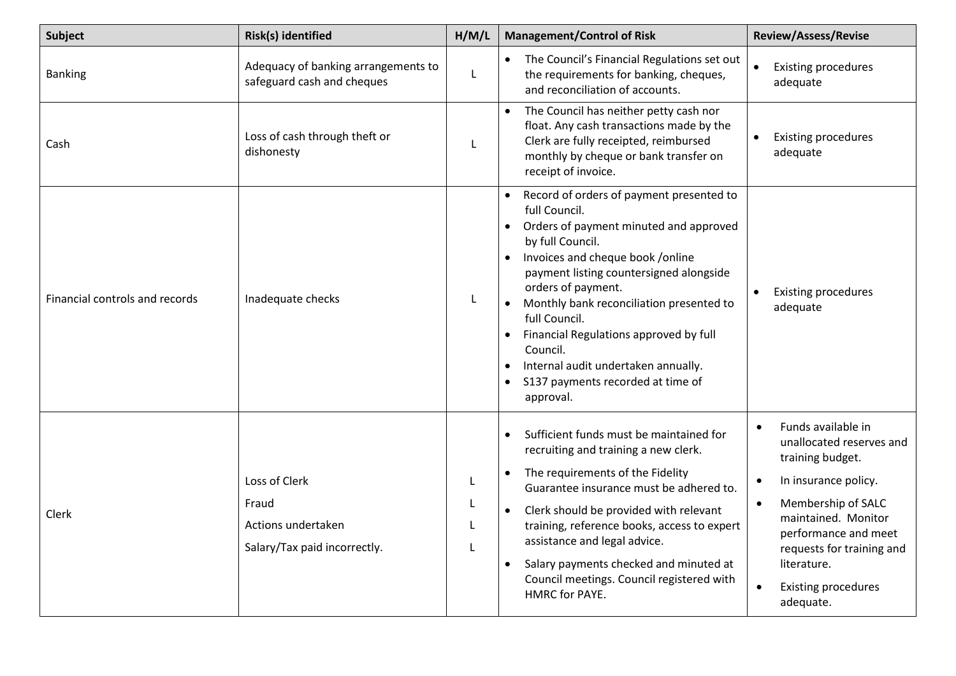| <b>Subject</b>                 | Risk(s) identified                                                           | H/M/L        | <b>Management/Control of Risk</b>                                                                                                                                                                                                                                                                                                                                                                                                        | <b>Review/Assess/Revise</b>                                                                                                                                                                                                                                         |
|--------------------------------|------------------------------------------------------------------------------|--------------|------------------------------------------------------------------------------------------------------------------------------------------------------------------------------------------------------------------------------------------------------------------------------------------------------------------------------------------------------------------------------------------------------------------------------------------|---------------------------------------------------------------------------------------------------------------------------------------------------------------------------------------------------------------------------------------------------------------------|
| <b>Banking</b>                 | Adequacy of banking arrangements to<br>safeguard cash and cheques            | L            | The Council's Financial Regulations set out<br>$\bullet$<br>the requirements for banking, cheques,<br>and reconciliation of accounts.                                                                                                                                                                                                                                                                                                    | $\bullet$<br><b>Existing procedures</b><br>adequate                                                                                                                                                                                                                 |
| Cash                           | Loss of cash through theft or<br>dishonesty                                  | L            | • The Council has neither petty cash nor<br>float. Any cash transactions made by the<br>Clerk are fully receipted, reimbursed<br>monthly by cheque or bank transfer on<br>receipt of invoice.                                                                                                                                                                                                                                            | <b>Existing procedures</b><br>adequate                                                                                                                                                                                                                              |
| Financial controls and records | Inadequate checks                                                            | L            | Record of orders of payment presented to<br>full Council.<br>Orders of payment minuted and approved<br>by full Council.<br>Invoices and cheque book /online<br>payment listing countersigned alongside<br>orders of payment.<br>Monthly bank reconciliation presented to<br>full Council.<br>Financial Regulations approved by full<br>Council.<br>Internal audit undertaken annually.<br>S137 payments recorded at time of<br>approval. | <b>Existing procedures</b><br>adequate                                                                                                                                                                                                                              |
| Clerk                          | Loss of Clerk<br>Fraud<br>Actions undertaken<br>Salary/Tax paid incorrectly. | L<br>L.<br>L | Sufficient funds must be maintained for<br>recruiting and training a new clerk.<br>• The requirements of the Fidelity<br>Guarantee insurance must be adhered to.<br>Clerk should be provided with relevant<br>$\bullet$<br>training, reference books, access to expert<br>assistance and legal advice.<br>Salary payments checked and minuted at<br>Council meetings. Council registered with<br><b>HMRC for PAYE.</b>                   | Funds available in<br>unallocated reserves and<br>training budget.<br>In insurance policy.<br>$\bullet$<br>Membership of SALC<br>maintained. Monitor<br>performance and meet<br>requests for training and<br>literature.<br><b>Existing procedures</b><br>adequate. |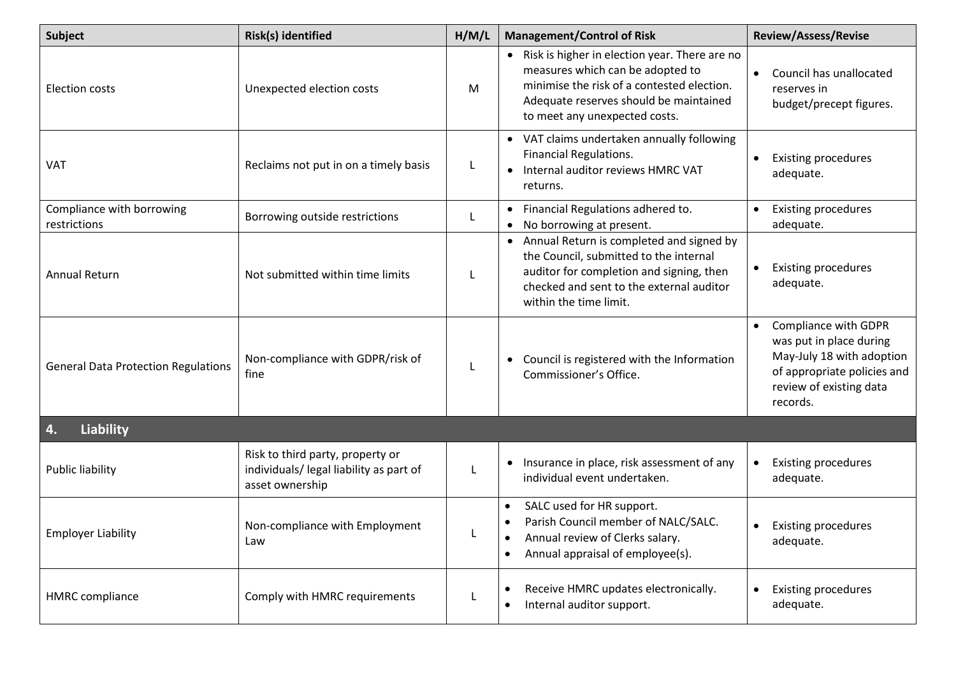| <b>Subject</b>                             | Risk(s) identified                                                                             | H/M/L | <b>Management/Control of Risk</b>                                                                                                                                                                            | <b>Review/Assess/Revise</b>                                                                                                                                     |  |
|--------------------------------------------|------------------------------------------------------------------------------------------------|-------|--------------------------------------------------------------------------------------------------------------------------------------------------------------------------------------------------------------|-----------------------------------------------------------------------------------------------------------------------------------------------------------------|--|
| Election costs                             | Unexpected election costs                                                                      | M     | • Risk is higher in election year. There are no<br>measures which can be adopted to<br>minimise the risk of a contested election.<br>Adequate reserves should be maintained<br>to meet any unexpected costs. | Council has unallocated<br>reserves in<br>budget/precept figures.                                                                                               |  |
| <b>VAT</b>                                 | Reclaims not put in on a timely basis                                                          | L.    | • VAT claims undertaken annually following<br>Financial Regulations.<br>Internal auditor reviews HMRC VAT<br>$\bullet$<br>returns.                                                                           | <b>Existing procedures</b><br>adequate.                                                                                                                         |  |
| Compliance with borrowing<br>restrictions  | Borrowing outside restrictions                                                                 | L     | • Financial Regulations adhered to.<br>• No borrowing at present.                                                                                                                                            | <b>Existing procedures</b><br>adequate.                                                                                                                         |  |
| <b>Annual Return</b>                       | Not submitted within time limits                                                               |       | • Annual Return is completed and signed by<br>the Council, submitted to the internal<br>auditor for completion and signing, then<br>checked and sent to the external auditor<br>within the time limit.       | <b>Existing procedures</b><br>adequate.                                                                                                                         |  |
| <b>General Data Protection Regulations</b> | Non-compliance with GDPR/risk of<br>fine                                                       | L     | Council is registered with the Information<br>$\bullet$<br>Commissioner's Office.                                                                                                                            | Compliance with GDPR<br>$\bullet$<br>was put in place during<br>May-July 18 with adoption<br>of appropriate policies and<br>review of existing data<br>records. |  |
| <b>Liability</b><br>4.                     |                                                                                                |       |                                                                                                                                                                                                              |                                                                                                                                                                 |  |
| <b>Public liability</b>                    | Risk to third party, property or<br>individuals/ legal liability as part of<br>asset ownership | L     | Insurance in place, risk assessment of any<br>individual event undertaken.                                                                                                                                   | <b>Existing procedures</b><br>adequate.                                                                                                                         |  |
| <b>Employer Liability</b>                  | Non-compliance with Employment<br>Law                                                          | L     | SALC used for HR support.<br>Parish Council member of NALC/SALC.<br>Annual review of Clerks salary.<br>Annual appraisal of employee(s).                                                                      | <b>Existing procedures</b><br>adequate.                                                                                                                         |  |
| <b>HMRC</b> compliance                     | Comply with HMRC requirements                                                                  | L.    | Receive HMRC updates electronically.<br>$\bullet$<br>Internal auditor support.<br>٠                                                                                                                          | <b>Existing procedures</b><br>adequate.                                                                                                                         |  |